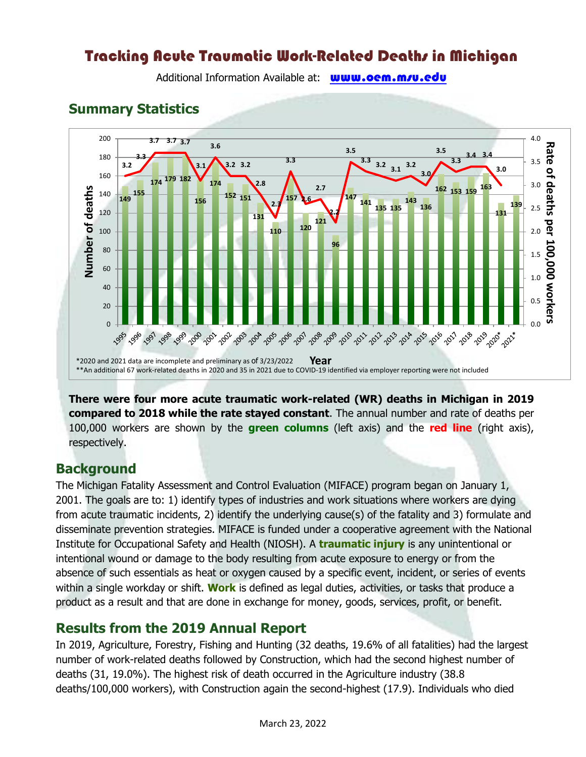# Tracking Acute Traumatic Work-Related Deaths in Michigan

Additional Information Available at: www.oem.m/u.edu

### **Summary Statistics**



**There were four more acute traumatic work-related (WR) deaths in Michigan in 2019 compared to 2018 while the rate stayed constant**. The annual number and rate of deaths per 100,000 workers are shown by the **green columns** (left axis) and the **red line** (right axis), respectively.

### **Background**

The Michigan Fatality Assessment and Control Evaluation (MIFACE) program began on January 1, 2001. The goals are to: 1) identify types of industries and work situations where workers are dying from acute traumatic incidents, 2) identify the underlying cause(s) of the fatality and 3) formulate and disseminate prevention strategies. MIFACE is funded under a cooperative agreement with the National Institute for Occupational Safety and Health (NIOSH). A **traumatic injury** is any unintentional or intentional wound or damage to the body resulting from acute exposure to energy or from the absence of such essentials as heat or oxygen caused by a specific event, incident, or series of events within a single workday or shift. **Work** is defined as legal duties, activities, or tasks that produce a product as a result and that are done in exchange for money, goods, services, profit, or benefit.

### **Results from the 2019 Annual Report**

In 2019, Agriculture, Forestry, Fishing and Hunting (32 deaths, 19.6% of all fatalities) had the largest number of work-related deaths followed by Construction, which had the second highest number of deaths (31, 19.0%). The highest risk of death occurred in the Agriculture industry (38.8 deaths/100,000 workers), with Construction again the second-highest (17.9). Individuals who died